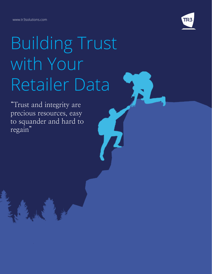www.tr3solutions.com



# Building Trust with Your Retailer Data

"Trust and integrity are precious resources, easy to squander and hard to regain"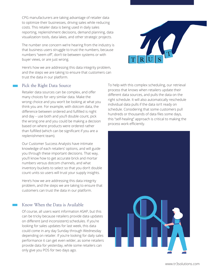CPG manufacturers are taking advantage of retailer data to optimize their businesses, driving sales while reducing costs. This retailer data is being used in daily sales reporting, replenishment decisions, demand planning, data visualization tools, data lakes, and other strategic projects.

The number one concern we're hearing from the industry is that business users struggle to trust the numbers, because numbers "seem off", don't tie between systems or with buyer views, or are just wrong.



### Pick the Right Data Source

Retailer data sources can be complex, and offer many choices for very similar data. Make the wrong choice and you won't be looking at what you think you are. For example, with dotcom data, the difference between ordered and fulfilled is night and day – use both and you'll double count, pick the wrong one and you could be making a decision based on where products were ordered rather than fulfilled (which can be significant if you are a replenishment team).

Our Customer Success Analysts have intimate knowledge of each retailers' options, and will guide you through these important decisions. That way, you'll know how to get accurate brick and mortar numbers versus dotcom channels, and what inventory buckets to select so that you don't double count units so users will trust your supply insights.

Here's how we are addressing this data integrity problem, and the steps we are taking to ensure that customers can trust the data in our platform.

## Know When the Data is Available

Of course, all users want information ASAP, but this can be tricky because retailers provide data updates on different (and inconsistent) schedules. If you're looking for sales updates for last week, this data could come in any day Sunday through Wednesday depending on retailer. If you're looking for daily sales performance it can get even wilder, as some retailers provide data for yesterday, while some retailers can only give you POS for two days ago.

To help with this complex scheduling, our retrieval process that knows when retailers update their different data sources, and pulls the data on the right schedule. It will also automatically reschedule individual data pulls if the data isn't ready on schedule. Considering that some customers pull hundreds or thousands of data files some days, this "self-healing" approach is critical to making the process work efficiently.